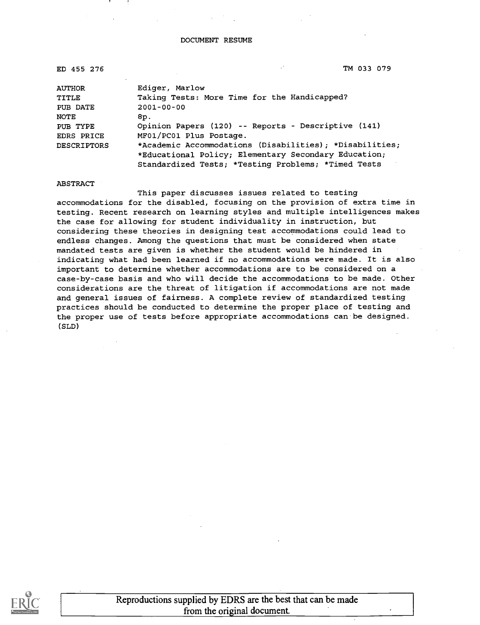#### DOCUMENT RESUME

| ED 455 276  | TM 033 079                                              |
|-------------|---------------------------------------------------------|
| AUTHOR      | Ediger, Marlow                                          |
| TITLE       | Taking Tests: More Time for the Handicapped?            |
| PUB DATE    | $2001 - 00 - 00$                                        |
| NOTE        | 8p.                                                     |
| PUB TYPE    | Opinion Papers (120) -- Reports - Descriptive (141)     |
| EDRS PRICE  | MF01/PC01 Plus Postage.                                 |
| DESCRIPTORS | *Academic Accommodations (Disabilities); *Disabilities; |
|             | *Educational Policy; Elementary Secondary Education;    |

ABSTRACT

This paper discusses issues related to testing accommodations for the disabled, focusing on the provision of extra time in testing. Recent research on learning styles and multiple intelligences makes the case for allowing for student individuality in instruction, but considering these theories in designing test accommodations could lead to endless changes. Among the questions that must be considered when state mandated tests are given is whether the student would be hindered in indicating what had been learned if no accommodations were made. It is also important to determine whether accommodations are to be considered on a case-by-case basis and who will decide the accommodations to be made. Other considerations are the threat of litigation if accommodations are not made and general issues of fairness. A complete review of standardized testing practices should be conducted to determine the proper place of testing and the proper use of tests before appropriate accommodations can be designed. (SLD)

Standardized Tests; \*Testing Problems; \*Timed Tests

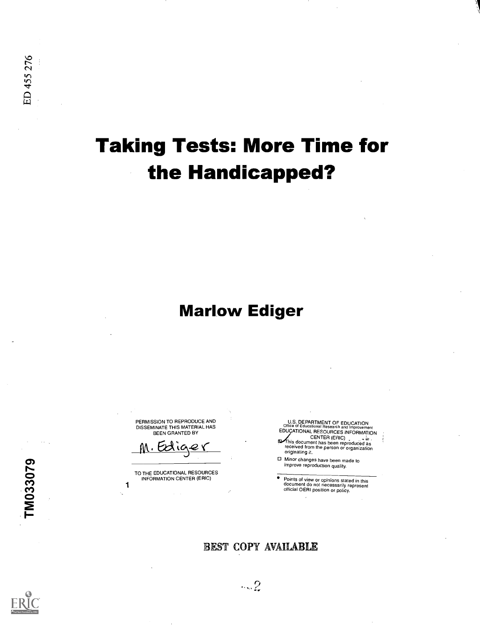# Taking Tests: More Time for the Handicapped?

## Marlow Ediger

PERMISSION TO REPRODUCE AND DISSEMINATE THIS MATERIAL HAS BEEN GRANTED BY

M. Edige

TO THE EDUCATIONAL RESOURCES INFORMATION CENTER (ERIC)

1

U.S. DEPARTMENT OF EDUCATION Office of Educational Research and Improvement EDUCATIONAL RESOURCES INFORMATION CENTER (ERIC) h- is document has been reproduced as received from the person or organization ſO. originating it.

Minor changes have been made to improve reproduction quality.

Points of view or opinions stated in this document do not necessarily represent official OERI position or policy.

#### BEST COPY AVAILABLE



TM033079

 $...2$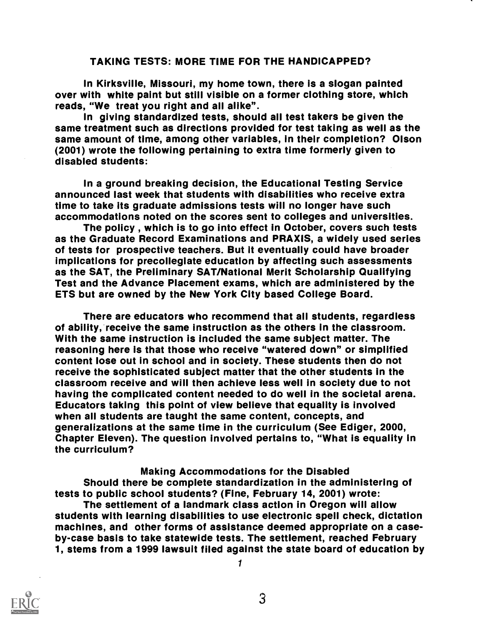#### TAKING TESTS: MORE TIME FOR THE HANDICAPPED?

In Kirksville, Missouri, my home town, there is a slogan painted over with white paint but still visible on a former clothing store, which reads, "We treat you right and all alike".

In giving standardized tests, should all test takers be given the same treatment such as directions provided for test taking as well as the same amount of time, among other variables, in their completion? Olson (2001) wrote the following pertaining to extra time formerly given to disabled students:

In a ground breaking decision, the Educational Testing Service announced last week that students with disabilities who receive extra time to take its graduate admissions tests will no longer have such accommodations noted on the scores sent to colleges and universities.

The policy , which is to go into effect in October, covers such tests as the Graduate Record Examinations and PRAXIS, a widely used series of tests for prospective teachers. But it eventually could have broader implications for precollegiate education by affecting such assessments as the SAT, the Preliminary SAT/National Merit Scholarship Qualifying Test and the Advance Placement exams, which are administered by the ETS but are owned by the New York City based College Board.

There are educators who recommend that all students, regardless of ability, receive the same instruction as the others in the classroom. With the same instruction is included the same subject matter. The reasoning here is that those who receive "watered down" or simplified content lose out in school and in society. These students then do not receive the sophisticated subject matter that the other students in the classroom receive and will then achieve less well in society due to not having the complicated content needed to do well in the societal arena. Educators taking this point of view believe that equality is involved when all students are taught the same content, concepts, and generalizations at the same time in the curriculum (See Ediger, 2000, Chapter Eleven). The question involved pertains to, "What is equality in the curriculum?

#### Making Accommodations for the Disabled

Should there be complete standardization in the administering of tests to public school students? (Fine, February 14, 2001) wrote:

The settlement of a landmark class action in Oregon will allow students with learning disabilities to use electronic spell check, dictation machines, and other forms of assistance deemed appropriate on a caseby-case basis to take statewide tests. The settlement, reached February 1, stems from a 1999 lawsuit filed against the state board of education by

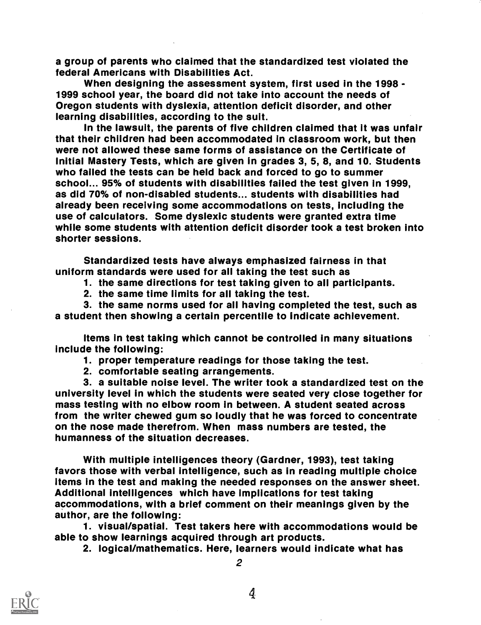a group of parents who claimed that the standardized test violated the federal Americans with Disabilities Act.

When designing the assessment system, first used in the 1998 - 1999 school year, the board did not take into account the needs of Oregon students with dyslexia, attention deficit disorder, and other learning disabilities, according to the suit.

In the lawsuit, the parents of five children claimed that it was unfair that their children had been accommodated in classroom work, but then were not allowed these same forms of assistance on the Certificate of Initial Mastery Tests, which are given in grades 3, 5, 8, and 10. Students who failed the tests can be held back and forced to go to summer school... 95% of students with disabilities failed the test given in 1999, as did 70% of non-disabled students... students with disabilities had already been receiving some accommodations on tests, including the use of calculators. Some dyslexic students were granted extra time while some students with attention deficit disorder took a test broken into shorter sessions.

Standardized tests have always emphasized fairness in that uniform standards were used for all taking the test such as

1. the same directions for test taking given to all participants.

2. the same time limits for all taking the test.

3. the same norms used for all having completed the test, such as a student then showing a certain percentile to indicate achievement.

Items in test taking which cannot be controlled in many situations include the following:

1. proper temperature readings for those taking the test.<br>2. comfortable seating arrangements.

3. a suitable noise level. The writer took a standardized test on the university level in which the students were seated very close together for mass testing with no elbow room in between. A student seated across from the writer chewed gum so loudly that he was forced to concentrate on the nose made therefrom. When mass numbers are tested, the humanness of the situation decreases.

With multiple intelligences theory (Gardner, 1993), test taking favors those with verbal intelligence, such as in reading multiple choice items in the test and making the needed responses on the answer sheet. Additional intelligences which have implications for test taking accommodations, with a brief comment on their meanings given by the author, are the following:

1. visual/spatial. Test takers here with accommodations would be able to show learnings acquired through art products.

2. logical/mathematics. Here, learners would indicate what has

2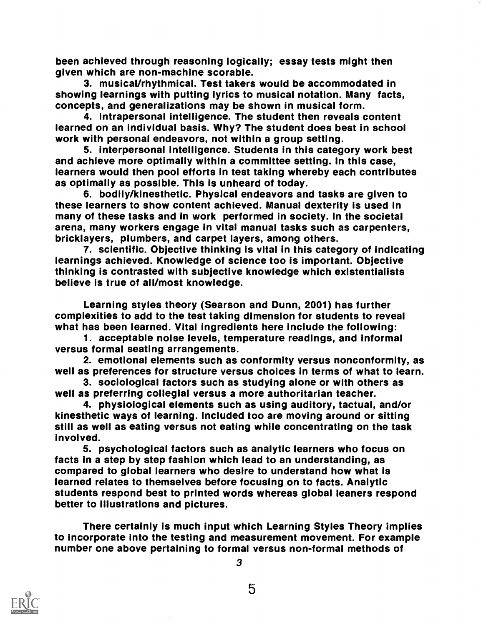been achieved through reasoning logically; essay tests might then given which are non-machine scorable.

3. musical/rhythmical. Test takers would be accommodated in showing learnings with putting lyrics to musical notation. Many facts, concepts, and generalizations may be shown in musical form.

4. intrapersonal intelligence. The student then reveals content learned on an individual basis. Why? The student does best in school work with personal endeavors, not within a group setting.

5. interpersonal intelligence. Students in this category work best and achieve more optimally within a committee setting. In this case, learners would then pool efforts in test taking whereby each contributes as optimally as possible. This is unheard of today.

6. bodily/kinesthetic. Physical endeavors and tasks are given to these learners to show content achieved. Manual dexterity is used in many of these tasks and in work performed in society. In the societal arena, many workers engage in vital manual tasks such as carpenters, bricklayers, plumbers, and carpet layers, among others.

7. scientific. Objective thinking is vital in this category of indicating learnings achieved. Knowledge of science too is important. Objective thinking is contrasted with subjective knowledge which existentialists believe is true of all/most knowledge.

Learning styles theory (Searson and Dunn, 2001) has further complexities to add to the test taking dimension for students to reveal what has been learned. Vital ingredients here include the following:

1. acceptable noise levels, temperature readings, and informal versus formal seating arrangements.

2. emotional elements such as conformity versus nonconformity, as well as preferences for structure versus choices in terms of what to learn.

3. sociological factors such as studying alone or with others as well as preferring collegial versus a more authoritarian teacher.

4. physiological elements such as using auditory, tactual, and/or kinesthetic ways of learning. Included too are moving around or sitting still as well as eating versus not eating while concentrating on the task involved.

5. psychological factors such as analytic learners who focus on facts in a step by step fashion which lead to an understanding, as compared to global learners who desire to understand how what is learned relates to themselves before focusing on to facts. Analytic students respond best to printed words whereas global leaners respond better to illustrations and pictures.

There certainly is much input which Learning Styles Theory implies to incorporate into the testing and measurement movement. For example number one above pertaining to formal versus non-formal methods of

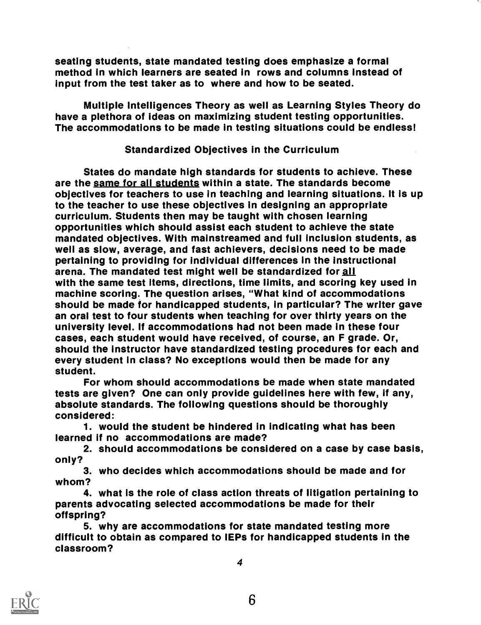seating students, state mandated testing does emphasize a formal method in which learners are seated in rows and columns instead of input from the test taker as to where and how to be seated.

Multiple intelligences Theory as well as Learning Styles Theory do have a plethora of ideas on maximizing student testing opportunities. The accommodations to be made in testing situations could be endless!

#### Standardized Objectives in the Curriculum

States do mandate high standards for students to achieve. These are the same for all students within a state. The standards become objectives for teachers to use in teaching and learning situations. It is up to the teacher to use these objectives in designing an appropriate curriculum. Students then may be taught with chosen learning opportunities which should assist each student to achieve the state mandated objectives. With mainstreamed and full inclusion students, as pertaining to providing for individual differences in the instructional arena. The mandated test might well be standardized for all with the same test Items, directions, time limits, and scoring key used in machine scoring. The question arises, "What kind of accommodations should be made for handicapped students, in particular? The writer gave an oral test to four students when teaching for over thirty years on the university level. If accommodations had not been made in these four cases, each student would have received, of course, an F grade. Or, should the instructor have standardized testing procedures for each and every student In class? No exceptions would then be made for any student.

For whom should accommodations be made when state mandated tests are given? One can only provide guidelines here with few, if any, absolute standards. The following questions should be thoroughly considered:

1. would the student be hindered in indicating what has been learned if no accommodations are made?

2. should accommodations be considered on a case by case basis, only?

3. who decides which accommodations should be made and for whom?

4. what is the role of class action threats of litigation pertaining to parents advocating selected accommodations be made for their offspring?

5. why are accommodations for state mandated testing more difficult to obtain as compared to IEPs for handicapped students in the classroom?

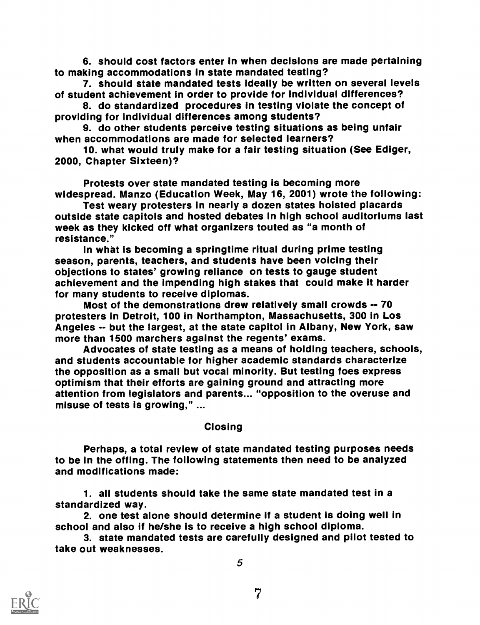6. should cost factors enter in when decisions are made pertaining to making accommodations in state mandated testing?

7. should state mandated tests ideally be written on several levels of student achievement in order to provide for individual differences?

8. do standardized procedures in testing violate the concept of providing for individual differences among students?

9. do other students perceive testing situations as being unfair when accommodations are made for selected learners?

10. what would truly make for a fair testing situation (See Ediger, 2000, Chapter Sixteen)?

Protests over state mandated testing is becoming more widespread. Manzo (Education Week, May 16, 2001) wrote the following:

Test weary protesters in nearly a dozen states hoisted placards outside state capitols and hosted debates in high school auditoriums last week as they kicked off what organizers touted as "a month of resistance."

In what is becoming a springtime ritual during prime testing season, parents, teachers, and students have been voicing their objections to states' growing reliance on tests to gauge student achievement and the impending high stakes that could make it harder for many students to receive diplomas.

Most of the demonstrations drew relatively small crowds -- 70 protesters in Detroit, 100 in Northampton, Massachusetts, 300 in Los Angeles -- but the largest, at the state capitol in Albany, New York, saw more than 1500 marchers against the regents' exams.

Advocates of state testing as a means of holding teachers, schools, and students accountable for higher academic standards characterize the opposition as a small but vocal minority. But testing foes express optimism that their efforts are gaining ground and attracting more attention from legislators and parents... "opposition to the overuse and misuse of tests is growing," ...

#### Closing

Perhaps, a total review of state mandated testing purposes needs to be in the offing. The following statements then need to be analyzed and modifications made:

1. all students should take the same state mandated test in a standardized way. 2. one test alone should determine if a student is doing well in

school and also if he/she is to receive a high school diploma.

3. state mandated tests are carefully designed and pilot tested to take out weaknesses.

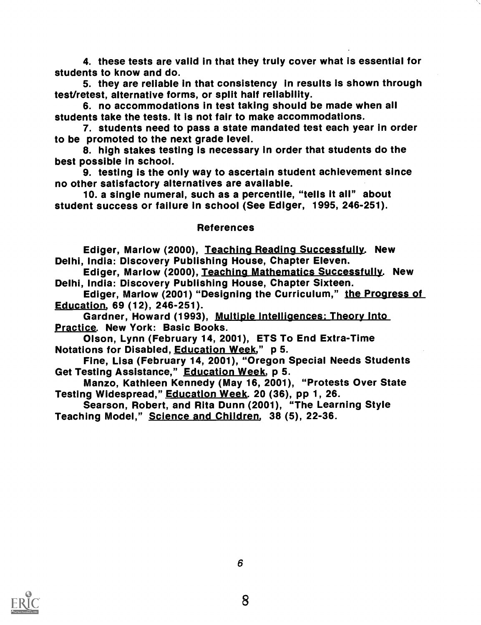4. these tests are valid in that they truly cover what is essential for students to know and do.

5. they are reliable in that consistency in results is shown through test/retest, alternative forms, or split half reliability.

6. no accommodations in test taking should be made when all students take the tests. It is not fair to make accommodations.

7. students need to pass a state mandated test each year in order to be promoted to the next grade level.

8. high stakes testing is necessary in order that students do the best possible in school.

9. testing is the only way to ascertain student achievement since

10. a single numeral, such as a percentile, "tells it all" about student success or failure in school (See Ediger, 1995, 246-251).

#### References

Ediger, Marlow (2000), Teaching Reading Successfully. New Delhi, India: Discovery Publishing House, Chapter Eleven.

Ediger, Marlow (2000), Teaching Mathematics Successfully. New<br>Delhi, India: Discovery Publishing House, Chapter Sixteen.

Ediger, Marlow (2001) "Designing the Curriculum," the Progress of

Education, 69 (12), 246-251). Gardner, Howard (1993), Multiple intelligences: Theory Into Practice. New York: Basic Books.

Olson, Lynn (February 14, 2001), ETS To End Extra-Time Notations for Disabled, Education Week," p 5.

Fine, Lisa (February 14, 2001), "Oregon Special Needs Students<br>Get Testing Assistance," Education Week, p 5.

Manzo, Kathleen Kennedy (May 16, 2001), "Protests Over State Testing Widespread," Education Week. 20 (36), pp 1, 26.

Searson, Robert, and Rita Dunn (2001), "The Learning Style Teaching Model," Science and Children, 38 (5), 22-36.

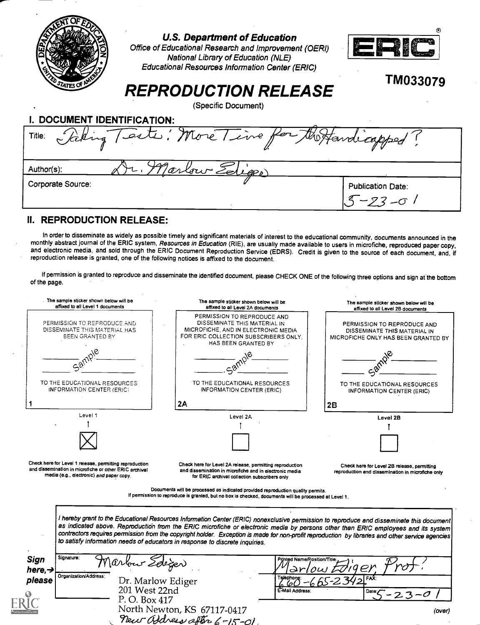

#### U.S. Department of Education

Office of Educational Research and Improvement (OERI) National Library of Education (NLE) Educational Resources Information Center (ERIC)



TM033079

## REPRODUCTION RELEASE

(Specific Document)

| DOCUMENT IDENTIFICATION: |                                              |                                          |  |  |
|--------------------------|----------------------------------------------|------------------------------------------|--|--|
| Title:                   | Faking Tests: More Time for the Handicapped? |                                          |  |  |
| Author(s):               | Jarlow Ediger)                               |                                          |  |  |
| Corporate Source:        |                                              | <b>Publication Date:</b><br>$5 - 23 - 0$ |  |  |

#### II. REPRODUCTION RELEASE:

In order to disseminate as widely as possible timely and significant materials of interest to the educational community, documents announced in the<br>monthly abstract journal of the ERIC system, Resources in Education (RIE), and electronic media, and sold through the ERIC Document Reproduction Service (EDRS). Credit is given to the source of each document, and, if<br>reproduction release is granted, one of the following notices is affixed to the

If permission is granted to reproduce and disseminate the identified document, please CHECK ONE of the following three options and sign at the bottom of the page.

|                             | The sample sticker shown below will be<br>affixed to all Level 1 documents                                                                                    | The sample sticker shown below will be<br>affixed to all Level 2A documents                                                                                                                                                                                                                                                                                                                                                                                                                                       | The sample sticker shown below will be<br>affixed to all Level 2B documents                        |
|-----------------------------|---------------------------------------------------------------------------------------------------------------------------------------------------------------|-------------------------------------------------------------------------------------------------------------------------------------------------------------------------------------------------------------------------------------------------------------------------------------------------------------------------------------------------------------------------------------------------------------------------------------------------------------------------------------------------------------------|----------------------------------------------------------------------------------------------------|
|                             | PERMISSION TO REPRODUCE AND<br>DISSEMINATE THIS MATERIAL HAS<br><b>BEEN GRANTED BY</b>                                                                        | PERMISSION TO REPRODUCE AND<br>DISSEMINATE THIS MATERIAL IN<br>MICROFICHE, AND IN ELECTRONIC MEDIA<br>FOR ERIC COLLECTION SUBSCRIBERS ONLY.<br>HAS BEEN GRANTED BY                                                                                                                                                                                                                                                                                                                                                | PERMISSION TO REPRODUCE AND<br>DISSEMINATE THIS MATERIAL IN<br>MICROFICHE ONLY HAS BEEN GRANTED BY |
|                             |                                                                                                                                                               |                                                                                                                                                                                                                                                                                                                                                                                                                                                                                                                   |                                                                                                    |
|                             | TO THE EDUCATIONAL RESOURCES<br>INFORMATION CENTER (ERIC)                                                                                                     | TO THE EDUCATIONAL RESOURCES<br><b>INFORMATION CENTER (ERIC)</b>                                                                                                                                                                                                                                                                                                                                                                                                                                                  | TO THE EDUCATIONAL RESOURCES<br>INFORMATION CENTER (ERIC)                                          |
|                             |                                                                                                                                                               | 2A                                                                                                                                                                                                                                                                                                                                                                                                                                                                                                                | 2B                                                                                                 |
|                             | Level 1                                                                                                                                                       | Level 2A                                                                                                                                                                                                                                                                                                                                                                                                                                                                                                          | Level 2B                                                                                           |
|                             |                                                                                                                                                               |                                                                                                                                                                                                                                                                                                                                                                                                                                                                                                                   |                                                                                                    |
|                             |                                                                                                                                                               |                                                                                                                                                                                                                                                                                                                                                                                                                                                                                                                   |                                                                                                    |
|                             | Check here for Level 1 release, permitting reproduction<br>and dissemination in microfiche or other ERIC archival<br>media (e.g., electronic) and paper copy. | Check here for Level 2A release, permitting reproduction<br>and dissemination in microfiche and in electronic media<br>for ERIC archival collection subscribers only                                                                                                                                                                                                                                                                                                                                              | Check here for Level 2B release, permitting<br>reproduction and dissemination in microfiche only   |
|                             |                                                                                                                                                               | Documents will be processed as indicated provided reproduction quality permits.<br>If permission to reproduce is granted, but no box is checked, documents will be processed at Level 1.                                                                                                                                                                                                                                                                                                                          |                                                                                                    |
|                             |                                                                                                                                                               | I hereby grant to the Educational Resources Information Center (ERIC) nonexclusive permission to reproduce and disseminate this document<br>as indicated above. Reproduction from the ERIC microfiche or electronic media by persons other than ERIC employees and its system<br>contractors requires permission from the copyright holder. Exception is made for non-profit reproduction by libraries and other service agencies<br>to satisfy information needs of educators in response to discrete inquiries. |                                                                                                    |
| Sign<br>here, $\rightarrow$ | Signature:<br>Marbur Zeleger                                                                                                                                  | Printad Name/Position/Title                                                                                                                                                                                                                                                                                                                                                                                                                                                                                       |                                                                                                    |
| please                      | Organization/Address:<br>Dr. Marlow Ediger                                                                                                                    |                                                                                                                                                                                                                                                                                                                                                                                                                                                                                                                   |                                                                                                    |
|                             | 201 West 22nd                                                                                                                                                 | E-Mail Address:                                                                                                                                                                                                                                                                                                                                                                                                                                                                                                   |                                                                                                    |
|                             | P.O. Box 417                                                                                                                                                  |                                                                                                                                                                                                                                                                                                                                                                                                                                                                                                                   |                                                                                                    |
|                             |                                                                                                                                                               | North Newton, KS 67117-0417<br>New address after 6-15-01                                                                                                                                                                                                                                                                                                                                                                                                                                                          | (over)                                                                                             |
|                             |                                                                                                                                                               |                                                                                                                                                                                                                                                                                                                                                                                                                                                                                                                   |                                                                                                    |